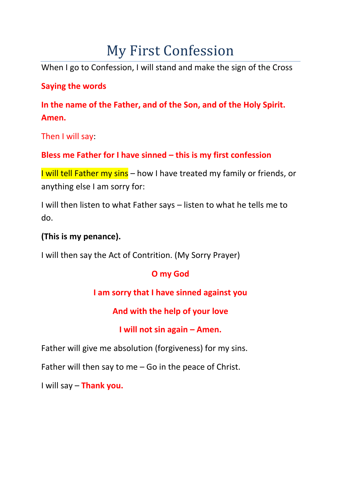# My First Confession

When I go to Confession, I will stand and make the sign of the Cross

#### **Saying the words**

**In the name of the Father, and of the Son, and of the Holy Spirit. Amen.**

Then I will say:

## **Bless me Father for I have sinned – this is my first confession**

I will tell Father my sins – how I have treated my family or friends, or anything else I am sorry for:

I will then listen to what Father says – listen to what he tells me to do.

#### **(This is my penance).**

I will then say the Act of Contrition. (My Sorry Prayer)

# **O my God**

# **I am sorry that I have sinned against you**

**And with the help of your love**

### **I will not sin again – Amen.**

Father will give me absolution (forgiveness) for my sins.

Father will then say to me – Go in the peace of Christ.

I will say – **Thank you.**